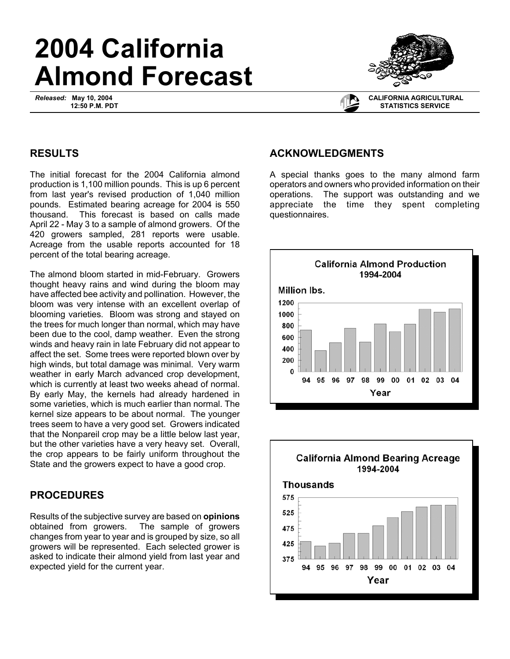# **2004 California Almond Forecast**

*Released:* **May 10, 2004 12:50 P.M. PDT**



#### **CALIFORNIA AGRICULTURAL STATISTICS SERVICE**

## **RESULTS**

The initial forecast for the 2004 California almond production is 1,100 million pounds. This is up 6 percent from last year's revised production of 1,040 million pounds. Estimated bearing acreage for 2004 is 550 thousand. This forecast is based on calls made April 22 - May 3 to a sample of almond growers. Of the 420 growers sampled, 281 reports were usable. Acreage from the usable reports accounted for 18 percent of the total bearing acreage.

The almond bloom started in mid-February. Growers thought heavy rains and wind during the bloom may have affected bee activity and pollination. However, the bloom was very intense with an excellent overlap of blooming varieties. Bloom was strong and stayed on the trees for much longer than normal, which may have been due to the cool, damp weather. Even the strong winds and heavy rain in late February did not appear to affect the set. Some trees were reported blown over by high winds, but total damage was minimal. Very warm weather in early March advanced crop development, which is currently at least two weeks ahead of normal. By early May, the kernels had already hardened in some varieties, which is much earlier than normal. The kernel size appears to be about normal. The younger trees seem to have a very good set. Growers indicated that the Nonpareil crop may be a little below last year, but the other varieties have a very heavy set. Overall, the crop appears to be fairly uniform throughout the State and the growers expect to have a good crop.

### **PROCEDURES**

Results of the subjective survey are based on **opinions** obtained from growers. The sample of growers changes from year to year and is grouped by size, so all growers will be represented. Each selected grower is asked to indicate their almond yield from last year and expected yield for the current year.

#### **ACKNOWLEDGMENTS**

A special thanks goes to the many almond farm operators and owners who provided information on their operations. The support was outstanding and we appreciate the time they spent completing questionnaires.